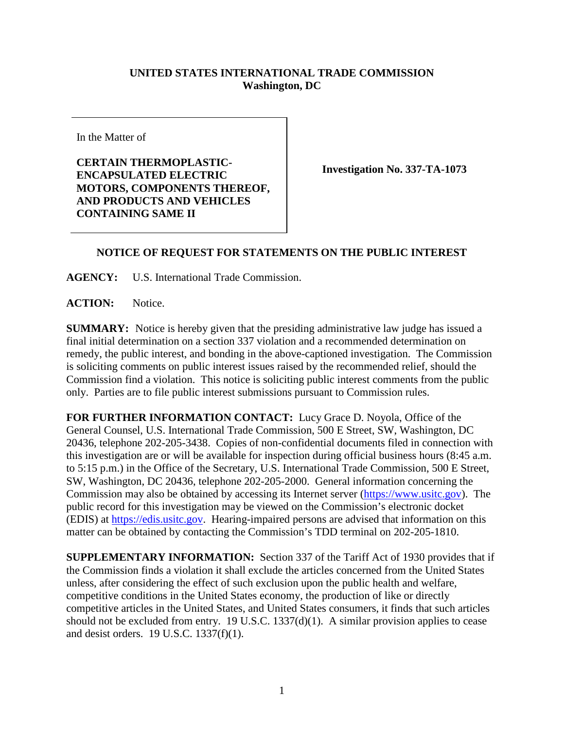## **UNITED STATES INTERNATIONAL TRADE COMMISSION Washington, DC**

In the Matter of

**CERTAIN THERMOPLASTIC-ENCAPSULATED ELECTRIC MOTORS, COMPONENTS THEREOF, AND PRODUCTS AND VEHICLES CONTAINING SAME II**

**Investigation No. 337-TA-1073**

## **NOTICE OF REQUEST FOR STATEMENTS ON THE PUBLIC INTEREST**

**AGENCY:** U.S. International Trade Commission.

ACTION: Notice.

**SUMMARY:** Notice is hereby given that the presiding administrative law judge has issued a final initial determination on a section 337 violation and a recommended determination on remedy, the public interest, and bonding in the above-captioned investigation. The Commission is soliciting comments on public interest issues raised by the recommended relief, should the Commission find a violation. This notice is soliciting public interest comments from the public only. Parties are to file public interest submissions pursuant to Commission rules.

**FOR FURTHER INFORMATION CONTACT:** Lucy Grace D. Noyola, Office of the General Counsel, U.S. International Trade Commission, 500 E Street, SW, Washington, DC 20436, telephone 202-205-3438. Copies of non-confidential documents filed in connection with this investigation are or will be available for inspection during official business hours (8:45 a.m. to 5:15 p.m.) in the Office of the Secretary, U.S. International Trade Commission, 500 E Street, SW, Washington, DC 20436, telephone 202-205-2000. General information concerning the Commission may also be obtained by accessing its Internet server [\(https://www.usitc.gov\)](https://www.usitc.gov/). The public record for this investigation may be viewed on the Commission's electronic docket (EDIS) at [https://edis.usitc.gov.](http://edis.usitc.gov/) Hearing-impaired persons are advised that information on this matter can be obtained by contacting the Commission's TDD terminal on 202-205-1810.

**SUPPLEMENTARY INFORMATION:** Section 337 of the Tariff Act of 1930 provides that if the Commission finds a violation it shall exclude the articles concerned from the United States unless, after considering the effect of such exclusion upon the public health and welfare, competitive conditions in the United States economy, the production of like or directly competitive articles in the United States, and United States consumers, it finds that such articles should not be excluded from entry. 19 U.S.C. 1337(d)(1). A similar provision applies to cease and desist orders. 19 U.S.C. 1337(f)(1).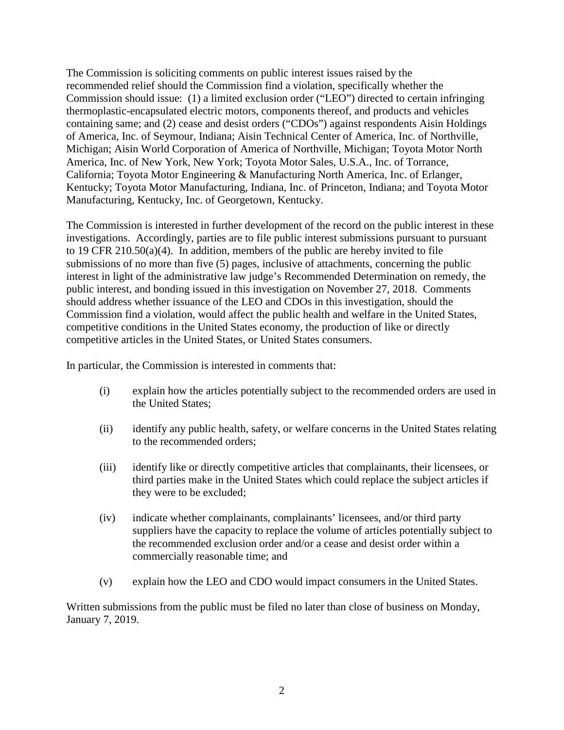The Commission is soliciting comments on public interest issues raised by the recommended relief should the Commission find a violation, specifically whether the Commission should issue: (1) a limited exclusion order ("LEO") directed to certain infringing thermoplastic-encapsulated electric motors, components thereof, and products and vehicles containing same; and (2) cease and desist orders ("CDOs") against respondents Aisin Holdings of America, Inc. of Seymour, Indiana; Aisin Technical Center of America, Inc. of Northville, Michigan; Aisin World Corporation of America of Northville, Michigan; Toyota Motor North America, Inc. of New York, New York; Toyota Motor Sales, U.S.A., Inc. of Torrance, California; Toyota Motor Engineering & Manufacturing North America, Inc. of Erlanger, Kentucky; Toyota Motor Manufacturing, Indiana, Inc. of Princeton, Indiana; and Toyota Motor Manufacturing, Kentucky, Inc. of Georgetown, Kentucky.

The Commission is interested in further development of the record on the public interest in these investigations. Accordingly, parties are to file public interest submissions pursuant to pursuant to 19 CFR 210.50(a)(4). In addition, members of the public are hereby invited to file submissions of no more than five (5) pages, inclusive of attachments, concerning the public interest in light of the administrative law judge's Recommended Determination on remedy, the public interest, and bonding issued in this investigation on November 27, 2018. Comments should address whether issuance of the LEO and CDOs in this investigation, should the Commission find a violation, would affect the public health and welfare in the United States, competitive conditions in the United States economy, the production of like or directly competitive articles in the United States, or United States consumers.

In particular, the Commission is interested in comments that:

- (i) explain how the articles potentially subject to the recommended orders are used in the United States;
- (ii) identify any public health, safety, or welfare concerns in the United States relating to the recommended orders;
- (iii) identify like or directly competitive articles that complainants, their licensees, or third parties make in the United States which could replace the subject articles if they were to be excluded;
- (iv) indicate whether complainants, complainants' licensees, and/or third party suppliers have the capacity to replace the volume of articles potentially subject to the recommended exclusion order and/or a cease and desist order within a commercially reasonable time; and
- (v) explain how the LEO and CDO would impact consumers in the United States.

Written submissions from the public must be filed no later than close of business on Monday, January 7, 2019.